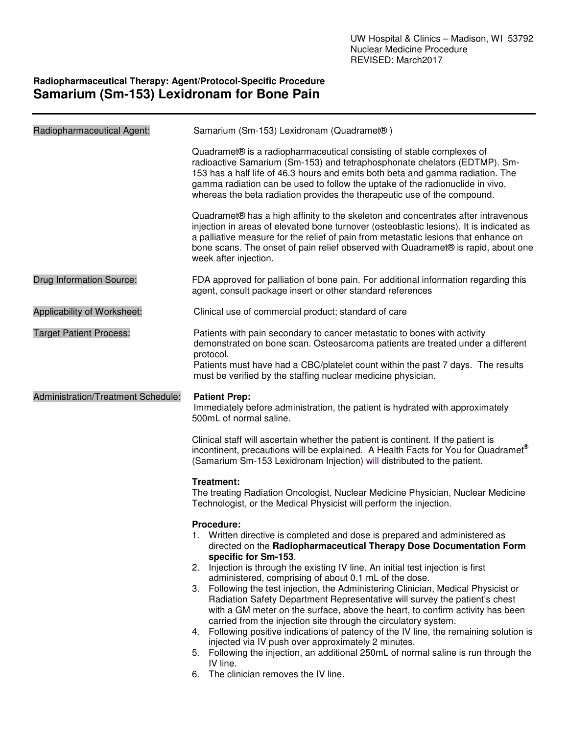## **Radiopharmaceutical Therapy: Agent/Protocol-Specific Procedure Samarium (Sm-153) Lexidronam for Bone Pain**

| Radiopharmaceutical Agent:         | Samarium (Sm-153) Lexidronam (Quadramet®)                                                                                                                                                                                                                                                                                                                                                                                                                                                                                                                                                                                                                                                                                                                                                                                                                                                                                                                   |  |
|------------------------------------|-------------------------------------------------------------------------------------------------------------------------------------------------------------------------------------------------------------------------------------------------------------------------------------------------------------------------------------------------------------------------------------------------------------------------------------------------------------------------------------------------------------------------------------------------------------------------------------------------------------------------------------------------------------------------------------------------------------------------------------------------------------------------------------------------------------------------------------------------------------------------------------------------------------------------------------------------------------|--|
|                                    | Quadramet® is a radiopharmaceutical consisting of stable complexes of<br>radioactive Samarium (Sm-153) and tetraphosphonate chelators (EDTMP). Sm-<br>153 has a half life of 46.3 hours and emits both beta and gamma radiation. The<br>gamma radiation can be used to follow the uptake of the radionuclide in vivo,<br>whereas the beta radiation provides the therapeutic use of the compound.                                                                                                                                                                                                                                                                                                                                                                                                                                                                                                                                                           |  |
|                                    | Quadramet® has a high affinity to the skeleton and concentrates after intravenous<br>injection in areas of elevated bone turnover (osteoblastic lesions). It is indicated as<br>a palliative measure for the relief of pain from metastatic lesions that enhance on<br>bone scans. The onset of pain relief observed with Quadramet® is rapid, about one<br>week after injection.                                                                                                                                                                                                                                                                                                                                                                                                                                                                                                                                                                           |  |
| <b>Drug Information Source:</b>    | FDA approved for palliation of bone pain. For additional information regarding this<br>agent, consult package insert or other standard references                                                                                                                                                                                                                                                                                                                                                                                                                                                                                                                                                                                                                                                                                                                                                                                                           |  |
| Applicability of Worksheet:        | Clinical use of commercial product; standard of care                                                                                                                                                                                                                                                                                                                                                                                                                                                                                                                                                                                                                                                                                                                                                                                                                                                                                                        |  |
| <b>Target Patient Process:</b>     | Patients with pain secondary to cancer metastatic to bones with activity<br>demonstrated on bone scan. Osteosarcoma patients are treated under a different<br>protocol.<br>Patients must have had a CBC/platelet count within the past 7 days. The results<br>must be verified by the staffing nuclear medicine physician.                                                                                                                                                                                                                                                                                                                                                                                                                                                                                                                                                                                                                                  |  |
| Administration/Treatment Schedule: | <b>Patient Prep:</b><br>Immediately before administration, the patient is hydrated with approximately<br>500mL of normal saline.                                                                                                                                                                                                                                                                                                                                                                                                                                                                                                                                                                                                                                                                                                                                                                                                                            |  |
|                                    | Clinical staff will ascertain whether the patient is continent. If the patient is<br>incontinent, precautions will be explained. A Health Facts for You for Quadramet®<br>(Samarium Sm-153 Lexidronam Injection) will distributed to the patient.                                                                                                                                                                                                                                                                                                                                                                                                                                                                                                                                                                                                                                                                                                           |  |
|                                    | Treatment:<br>The treating Radiation Oncologist, Nuclear Medicine Physician, Nuclear Medicine<br>Technologist, or the Medical Physicist will perform the injection.                                                                                                                                                                                                                                                                                                                                                                                                                                                                                                                                                                                                                                                                                                                                                                                         |  |
|                                    | Procedure:<br>1. Written directive is completed and dose is prepared and administered as<br>directed on the Radiopharmaceutical Therapy Dose Documentation Form<br>specific for Sm-153.<br>2. Injection is through the existing IV line. An initial test injection is first<br>administered, comprising of about 0.1 mL of the dose.<br>3. Following the test injection, the Administering Clinician, Medical Physicist or<br>Radiation Safety Department Representative will survey the patient's chest<br>with a GM meter on the surface, above the heart, to confirm activity has been<br>carried from the injection site through the circulatory system.<br>4. Following positive indications of patency of the IV line, the remaining solution is<br>injected via IV push over approximately 2 minutes.<br>5. Following the injection, an additional 250mL of normal saline is run through the<br>IV line.<br>The clinician removes the IV line.<br>6. |  |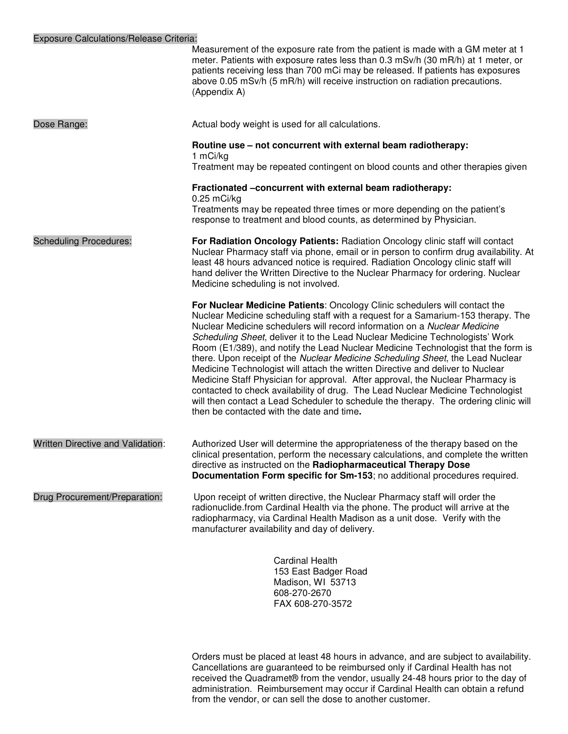|                                   | Measurement of the exposure rate from the patient is made with a GM meter at 1<br>meter. Patients with exposure rates less than 0.3 mSv/h (30 mR/h) at 1 meter, or<br>patients receiving less than 700 mCi may be released. If patients has exposures<br>above 0.05 mSv/h (5 mR/h) will receive instruction on radiation precautions.<br>(Appendix A)                                                                                                                                                                                                                                                                                                                                                                                                                                                                                                                                           |
|-----------------------------------|-------------------------------------------------------------------------------------------------------------------------------------------------------------------------------------------------------------------------------------------------------------------------------------------------------------------------------------------------------------------------------------------------------------------------------------------------------------------------------------------------------------------------------------------------------------------------------------------------------------------------------------------------------------------------------------------------------------------------------------------------------------------------------------------------------------------------------------------------------------------------------------------------|
| Dose Range:                       | Actual body weight is used for all calculations.                                                                                                                                                                                                                                                                                                                                                                                                                                                                                                                                                                                                                                                                                                                                                                                                                                                |
|                                   | Routine use - not concurrent with external beam radiotherapy:                                                                                                                                                                                                                                                                                                                                                                                                                                                                                                                                                                                                                                                                                                                                                                                                                                   |
|                                   | 1 mCi/kg<br>Treatment may be repeated contingent on blood counts and other therapies given                                                                                                                                                                                                                                                                                                                                                                                                                                                                                                                                                                                                                                                                                                                                                                                                      |
|                                   | Fractionated -concurrent with external beam radiotherapy:<br>$0.25$ mCi/kg                                                                                                                                                                                                                                                                                                                                                                                                                                                                                                                                                                                                                                                                                                                                                                                                                      |
|                                   | Treatments may be repeated three times or more depending on the patient's<br>response to treatment and blood counts, as determined by Physician.                                                                                                                                                                                                                                                                                                                                                                                                                                                                                                                                                                                                                                                                                                                                                |
| <b>Scheduling Procedures:</b>     | For Radiation Oncology Patients: Radiation Oncology clinic staff will contact<br>Nuclear Pharmacy staff via phone, email or in person to confirm drug availability. At<br>least 48 hours advanced notice is required. Radiation Oncology clinic staff will<br>hand deliver the Written Directive to the Nuclear Pharmacy for ordering. Nuclear<br>Medicine scheduling is not involved.                                                                                                                                                                                                                                                                                                                                                                                                                                                                                                          |
|                                   | For Nuclear Medicine Patients: Oncology Clinic schedulers will contact the<br>Nuclear Medicine scheduling staff with a request for a Samarium-153 therapy. The<br>Nuclear Medicine schedulers will record information on a Nuclear Medicine<br>Scheduling Sheet, deliver it to the Lead Nuclear Medicine Technologists' Work<br>Room (E1/389), and notify the Lead Nuclear Medicine Technologist that the form is<br>there. Upon receipt of the Nuclear Medicine Scheduling Sheet, the Lead Nuclear<br>Medicine Technologist will attach the written Directive and deliver to Nuclear<br>Medicine Staff Physician for approval. After approval, the Nuclear Pharmacy is<br>contacted to check availability of drug. The Lead Nuclear Medicine Technologist<br>will then contact a Lead Scheduler to schedule the therapy. The ordering clinic will<br>then be contacted with the date and time. |
| Written Directive and Validation: | Authorized User will determine the appropriateness of the therapy based on the<br>clinical presentation, perform the necessary calculations, and complete the written<br>directive as instructed on the Radiopharmaceutical Therapy Dose<br>Documentation Form specific for Sm-153; no additional procedures required.                                                                                                                                                                                                                                                                                                                                                                                                                                                                                                                                                                          |
| Drug Procurement/Preparation:     | Upon receipt of written directive, the Nuclear Pharmacy staff will order the<br>radionuclide.from Cardinal Health via the phone. The product will arrive at the<br>radiopharmacy, via Cardinal Health Madison as a unit dose. Verify with the<br>manufacturer availability and day of delivery.                                                                                                                                                                                                                                                                                                                                                                                                                                                                                                                                                                                                 |
|                                   |                                                                                                                                                                                                                                                                                                                                                                                                                                                                                                                                                                                                                                                                                                                                                                                                                                                                                                 |

Cardinal Health 153 East Badger Road Madison, WI 53713 608-270-2670 FAX 608-270-3572

Orders must be placed at least 48 hours in advance, and are subject to availability. Cancellations are guaranteed to be reimbursed only if Cardinal Health has not received the Quadramet® from the vendor, usually 24-48 hours prior to the day of administration. Reimbursement may occur if Cardinal Health can obtain a refund from the vendor, or can sell the dose to another customer.